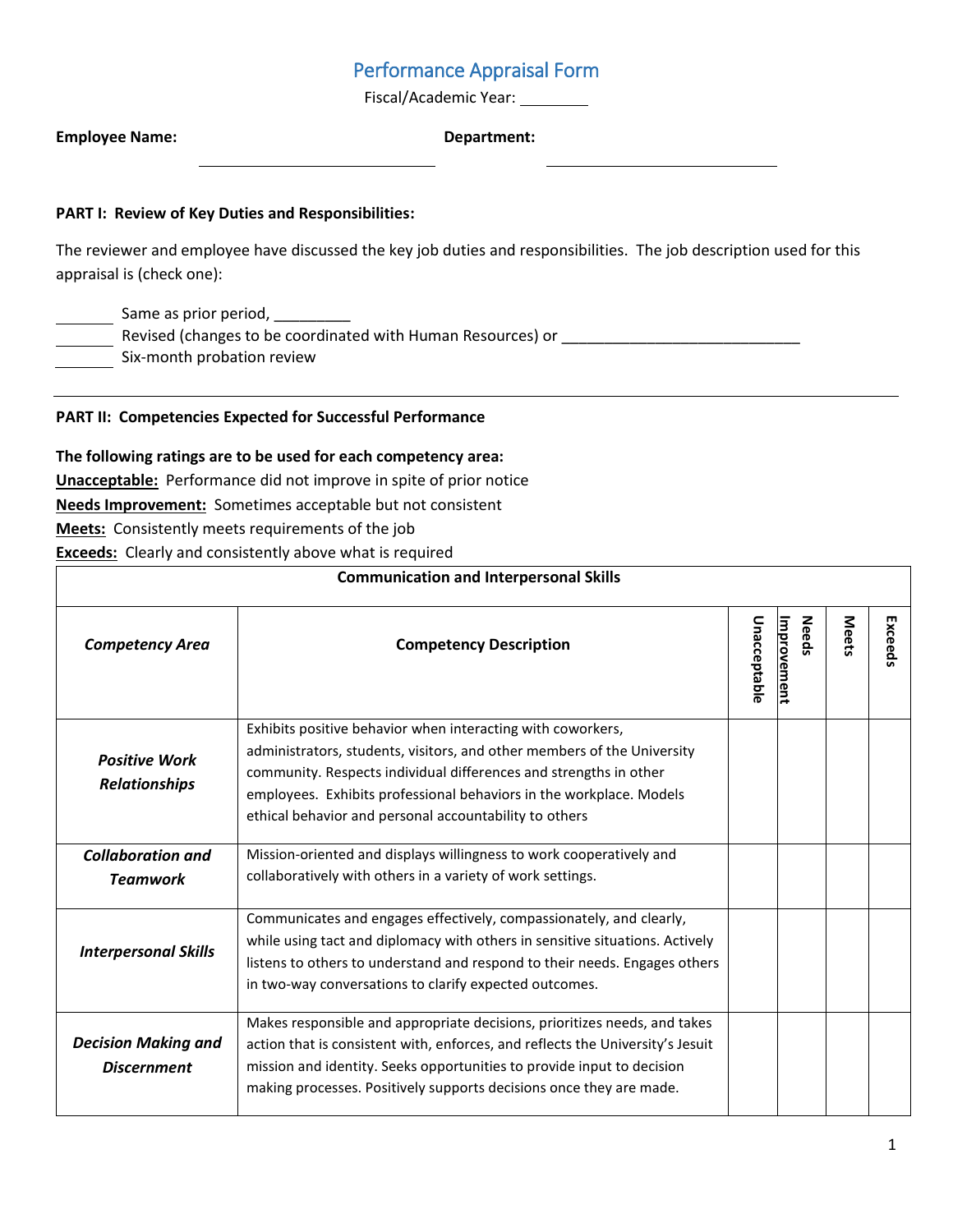# Performance Appraisal Form

Fiscal/Academic Year: \_\_\_\_\_\_\_\_\_

| <b>Employee Name:</b> | Department: |
|-----------------------|-------------|
|                       |             |

### **PART I: Review of Key Duties and Responsibilities:**

The reviewer and employee have discussed the key job duties and responsibilities. The job description used for this appraisal is (check one):

Same as prior period, \_\_\_\_\_\_\_\_\_

-<br>Revised (changes to be coordinated with Human Resources) or \_\_\_\_\_\_\_\_\_\_\_\_\_\_\_\_\_\_\_\_\_

Six-month probation review

#### **PART II: Competencies Expected for Successful Performance**

#### **The following ratings are to be used for each competency area:**

**Unacceptable:** Performance did not improve in spite of prior notice

**Needs Improvement:** Sometimes acceptable but not consistent

**Meets:** Consistently meets requirements of the job

**Exceeds:** Clearly and consistently above what is required

| <b>Communication and Interpersonal Skills</b>    |                                                                                                                                                                                                                                                                                                                                              |              |                             |              |         |
|--------------------------------------------------|----------------------------------------------------------------------------------------------------------------------------------------------------------------------------------------------------------------------------------------------------------------------------------------------------------------------------------------------|--------------|-----------------------------|--------------|---------|
| <b>Competency Area</b>                           | <b>Competency Description</b>                                                                                                                                                                                                                                                                                                                | Unacceptable | Improvement<br><b>Needs</b> | <b>Meets</b> | Exceeds |
| <b>Positive Work</b><br><b>Relationships</b>     | Exhibits positive behavior when interacting with coworkers,<br>administrators, students, visitors, and other members of the University<br>community. Respects individual differences and strengths in other<br>employees. Exhibits professional behaviors in the workplace. Models<br>ethical behavior and personal accountability to others |              |                             |              |         |
| <b>Collaboration and</b><br><b>Teamwork</b>      | Mission-oriented and displays willingness to work cooperatively and<br>collaboratively with others in a variety of work settings.                                                                                                                                                                                                            |              |                             |              |         |
| <b>Interpersonal Skills</b>                      | Communicates and engages effectively, compassionately, and clearly,<br>while using tact and diplomacy with others in sensitive situations. Actively<br>listens to others to understand and respond to their needs. Engages others<br>in two-way conversations to clarify expected outcomes.                                                  |              |                             |              |         |
| <b>Decision Making and</b><br><b>Discernment</b> | Makes responsible and appropriate decisions, prioritizes needs, and takes<br>action that is consistent with, enforces, and reflects the University's Jesuit<br>mission and identity. Seeks opportunities to provide input to decision<br>making processes. Positively supports decisions once they are made.                                 |              |                             |              |         |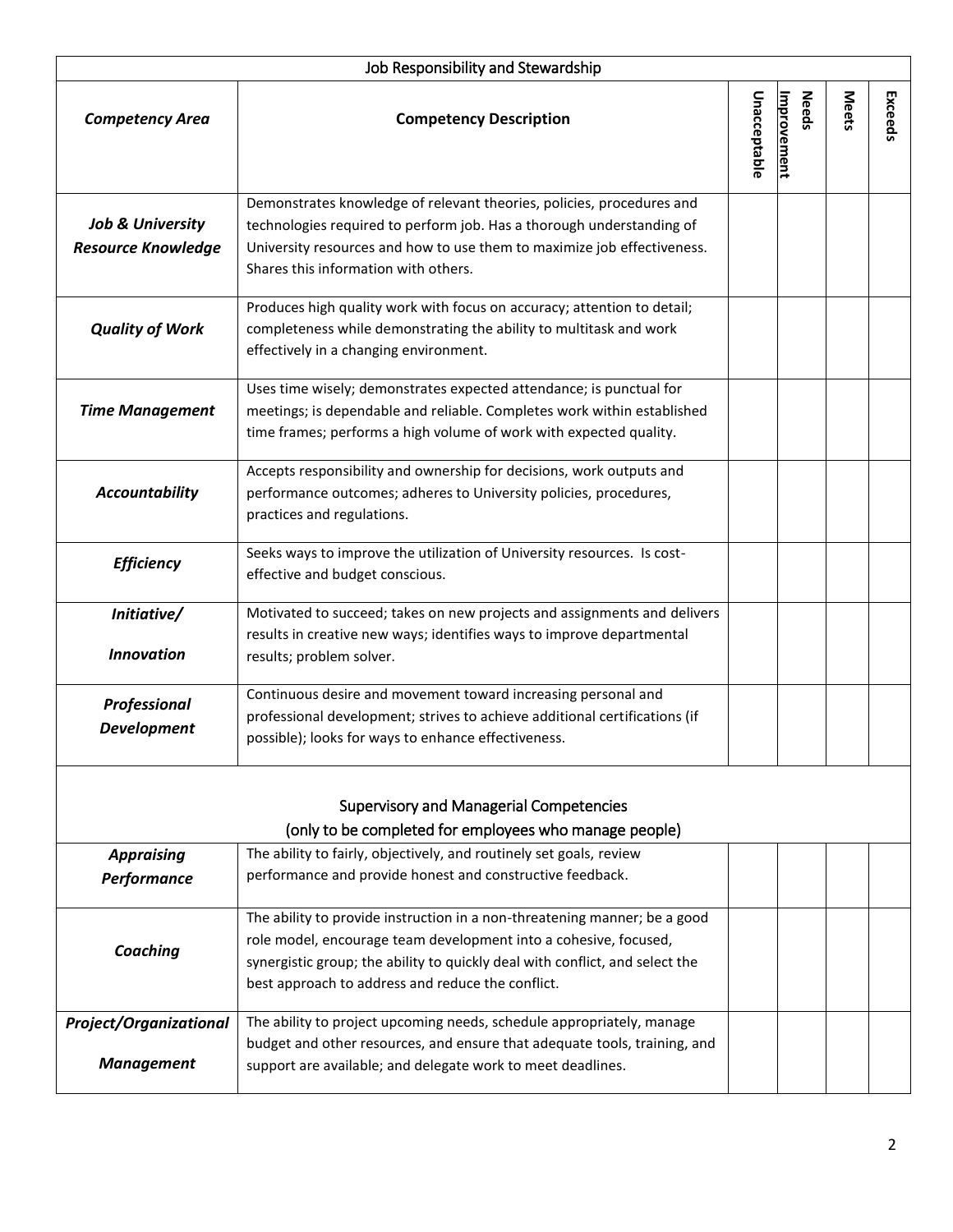| Job Responsibility and Stewardship                                                                       |                                                                                                                                                                                                                                                                                    |              |                             |              |         |
|----------------------------------------------------------------------------------------------------------|------------------------------------------------------------------------------------------------------------------------------------------------------------------------------------------------------------------------------------------------------------------------------------|--------------|-----------------------------|--------------|---------|
| <b>Competency Area</b>                                                                                   | <b>Competency Description</b>                                                                                                                                                                                                                                                      | Unacceptable | <b>Needs</b><br>Improvement | <b>Meets</b> | Exceeds |
| <b>Job &amp; University</b><br><b>Resource Knowledge</b>                                                 | Demonstrates knowledge of relevant theories, policies, procedures and<br>technologies required to perform job. Has a thorough understanding of<br>University resources and how to use them to maximize job effectiveness.<br>Shares this information with others.                  |              |                             |              |         |
| <b>Quality of Work</b>                                                                                   | Produces high quality work with focus on accuracy; attention to detail;<br>completeness while demonstrating the ability to multitask and work<br>effectively in a changing environment.                                                                                            |              |                             |              |         |
| <b>Time Management</b>                                                                                   | Uses time wisely; demonstrates expected attendance; is punctual for<br>meetings; is dependable and reliable. Completes work within established<br>time frames; performs a high volume of work with expected quality.                                                               |              |                             |              |         |
| <b>Accountability</b>                                                                                    | Accepts responsibility and ownership for decisions, work outputs and<br>performance outcomes; adheres to University policies, procedures,<br>practices and regulations.                                                                                                            |              |                             |              |         |
| <b>Efficiency</b>                                                                                        | Seeks ways to improve the utilization of University resources. Is cost-<br>effective and budget conscious.                                                                                                                                                                         |              |                             |              |         |
| Initiative/<br><b>Innovation</b>                                                                         | Motivated to succeed; takes on new projects and assignments and delivers<br>results in creative new ways; identifies ways to improve departmental<br>results; problem solver.                                                                                                      |              |                             |              |         |
| Professional<br><b>Development</b>                                                                       | Continuous desire and movement toward increasing personal and<br>professional development; strives to achieve additional certifications (if<br>possible); looks for ways to enhance effectiveness.                                                                                 |              |                             |              |         |
| <b>Supervisory and Managerial Competencies</b><br>(only to be completed for employees who manage people) |                                                                                                                                                                                                                                                                                    |              |                             |              |         |
| <b>Appraising</b><br>Performance                                                                         | The ability to fairly, objectively, and routinely set goals, review<br>performance and provide honest and constructive feedback.                                                                                                                                                   |              |                             |              |         |
| Coaching                                                                                                 | The ability to provide instruction in a non-threatening manner; be a good<br>role model, encourage team development into a cohesive, focused,<br>synergistic group; the ability to quickly deal with conflict, and select the<br>best approach to address and reduce the conflict. |              |                             |              |         |
| <b>Project/Organizational</b><br><b>Management</b>                                                       | The ability to project upcoming needs, schedule appropriately, manage<br>budget and other resources, and ensure that adequate tools, training, and<br>support are available; and delegate work to meet deadlines.                                                                  |              |                             |              |         |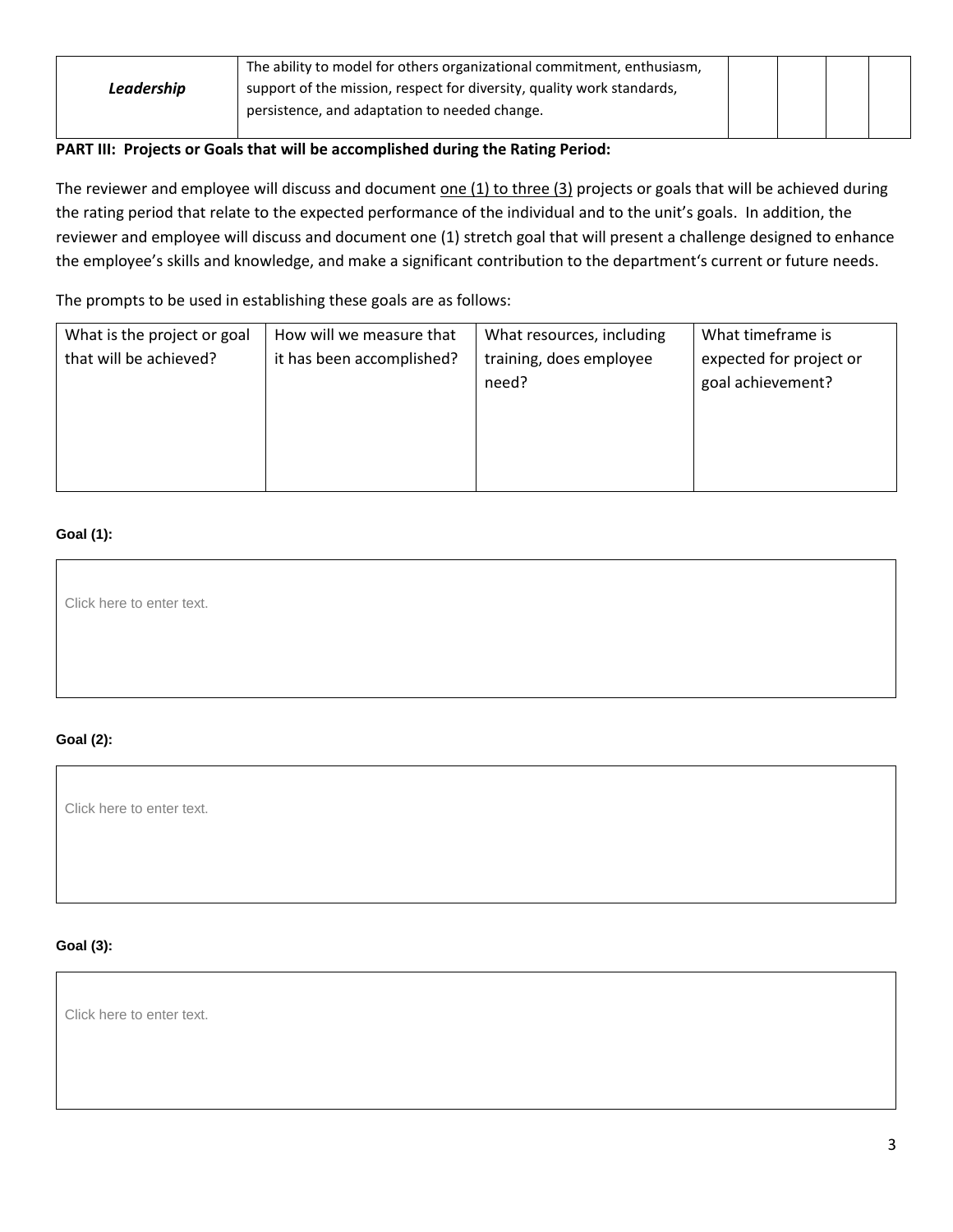| The ability to model for others organizational commitment, enthusiasm, |                                                                        |  |  |
|------------------------------------------------------------------------|------------------------------------------------------------------------|--|--|
| Leadership                                                             | support of the mission, respect for diversity, quality work standards, |  |  |
|                                                                        | persistence, and adaptation to needed change.                          |  |  |
|                                                                        |                                                                        |  |  |

## **PART III: Projects or Goals that will be accomplished during the Rating Period:**

The reviewer and employee will discuss and document one (1) to three (3) projects or goals that will be achieved during the rating period that relate to the expected performance of the individual and to the unit's goals. In addition, the reviewer and employee will discuss and document one (1) stretch goal that will present a challenge designed to enhance the employee's skills and knowledge, and make a significant contribution to the department's current or future needs.

The prompts to be used in establishing these goals are as follows:

| What is the project or goal | How will we measure that  | What resources, including | What timeframe is       |
|-----------------------------|---------------------------|---------------------------|-------------------------|
| that will be achieved?      | it has been accomplished? | training, does employee   | expected for project or |
|                             |                           | need?                     | goal achievement?       |
|                             |                           |                           |                         |
|                             |                           |                           |                         |
|                             |                           |                           |                         |
|                             |                           |                           |                         |

# **Goal (1):**

Click here to enter text.

# **Goal (2):**

Click here to enter text.

#### **Goal (3):**

Click here to enter text.